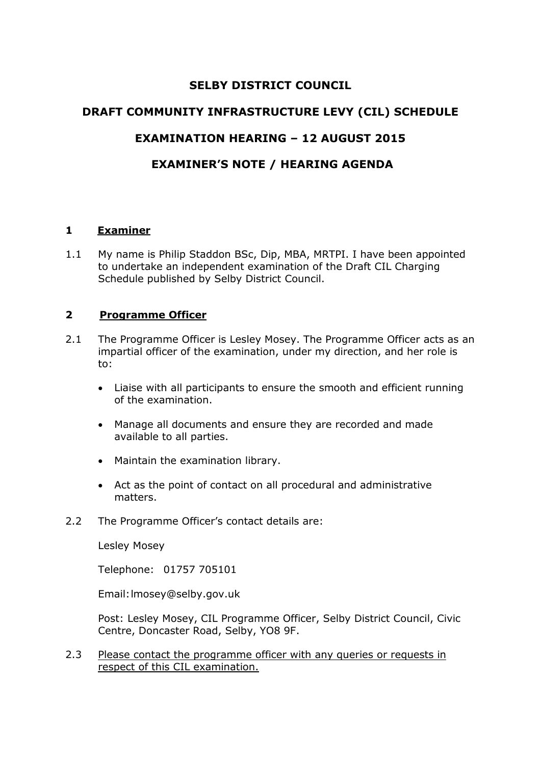# **SELBY DISTRICT COUNCIL**

## **DRAFT COMMUNITY INFRASTRUCTURE LEVY (CIL) SCHEDULE**

## **EXAMINATION HEARING – 12 AUGUST 2015**

# **EXAMINER'S NOTE / HEARING AGENDA**

#### **1 Examiner**

1.1 My name is Philip Staddon BSc, Dip, MBA, MRTPI. I have been appointed to undertake an independent examination of the Draft CIL Charging Schedule published by Selby District Council.

## **2 Programme Officer**

- 2.1 The Programme Officer is Lesley Mosey. The Programme Officer acts as an impartial officer of the examination, under my direction, and her role is to:
	- Liaise with all participants to ensure the smooth and efficient running of the examination.
	- Manage all documents and ensure they are recorded and made available to all parties.
	- Maintain the examination library.
	- Act as the point of contact on all procedural and administrative matters.
- 2.2 The Programme Officer's contact details are:

Lesley Mosey

Telephone: 01757 705101

Email:lmosey@selby.gov.uk

Post: Lesley Mosey, CIL Programme Officer, Selby District Council, Civic Centre, Doncaster Road, Selby, YO8 9F.

2.3 Please contact the programme officer with any queries or requests in respect of this CIL examination.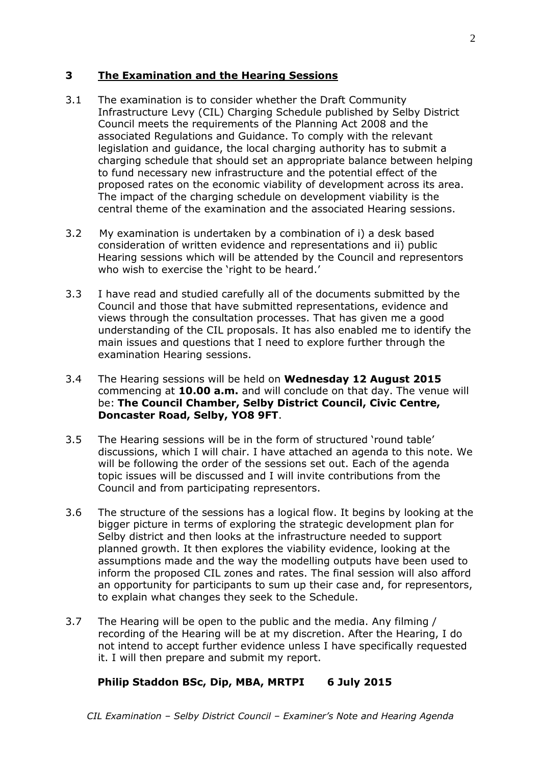#### **3 The Examination and the Hearing Sessions**

- 3.1 The examination is to consider whether the Draft Community Infrastructure Levy (CIL) Charging Schedule published by Selby District Council meets the requirements of the Planning Act 2008 and the associated Regulations and Guidance. To comply with the relevant legislation and guidance, the local charging authority has to submit a charging schedule that should set an appropriate balance between helping to fund necessary new infrastructure and the potential effect of the proposed rates on the economic viability of development across its area. The impact of the charging schedule on development viability is the central theme of the examination and the associated Hearing sessions.
- 3.2 My examination is undertaken by a combination of i) a desk based consideration of written evidence and representations and ii) public Hearing sessions which will be attended by the Council and representors who wish to exercise the 'right to be heard.'
- 3.3 I have read and studied carefully all of the documents submitted by the Council and those that have submitted representations, evidence and views through the consultation processes. That has given me a good understanding of the CIL proposals. It has also enabled me to identify the main issues and questions that I need to explore further through the examination Hearing sessions.
- 3.4 The Hearing sessions will be held on **Wednesday 12 August 2015**  commencing at **10.00 a.m.** and will conclude on that day. The venue will be: **The Council Chamber, Selby District Council, Civic Centre, Doncaster Road, Selby, YO8 9FT**.
- 3.5 The Hearing sessions will be in the form of structured 'round table' discussions, which I will chair. I have attached an agenda to this note. We will be following the order of the sessions set out. Each of the agenda topic issues will be discussed and I will invite contributions from the Council and from participating representors.
- 3.6 The structure of the sessions has a logical flow. It begins by looking at the bigger picture in terms of exploring the strategic development plan for Selby district and then looks at the infrastructure needed to support planned growth. It then explores the viability evidence, looking at the assumptions made and the way the modelling outputs have been used to inform the proposed CIL zones and rates. The final session will also afford an opportunity for participants to sum up their case and, for representors, to explain what changes they seek to the Schedule.
- 3.7 The Hearing will be open to the public and the media. Any filming / recording of the Hearing will be at my discretion. After the Hearing, I do not intend to accept further evidence unless I have specifically requested it. I will then prepare and submit my report.

### **Philip Staddon BSc, Dip, MBA, MRTPI 6 July 2015**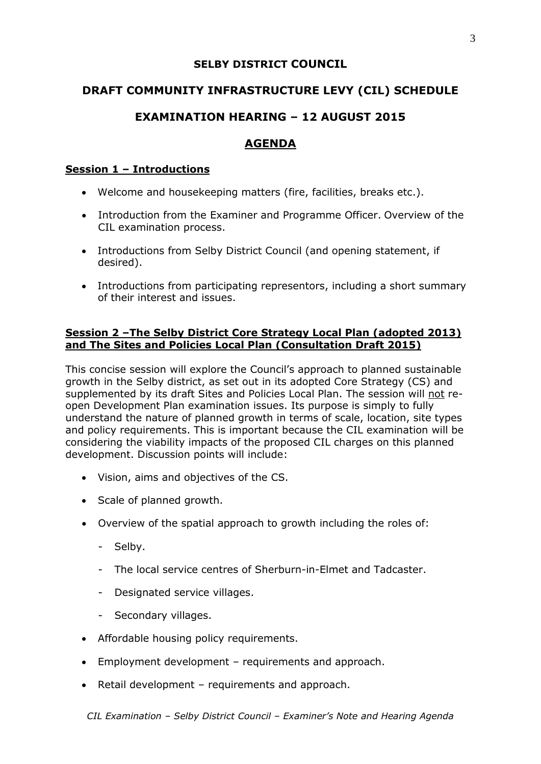## **SELBY DISTRICT COUNCIL**

# **DRAFT COMMUNITY INFRASTRUCTURE LEVY (CIL) SCHEDULE**

# **EXAMINATION HEARING – 12 AUGUST 2015**

# **AGENDA**

## **Session 1 – Introductions**

- Welcome and housekeeping matters (fire, facilities, breaks etc.).
- Introduction from the Examiner and Programme Officer. Overview of the CIL examination process.
- Introductions from Selby District Council (and opening statement, if desired).
- Introductions from participating representors, including a short summary of their interest and issues.

## **Session 2 –The Selby District Core Strategy Local Plan (adopted 2013) and The Sites and Policies Local Plan (Consultation Draft 2015)**

This concise session will explore the Council's approach to planned sustainable growth in the Selby district, as set out in its adopted Core Strategy (CS) and supplemented by its draft Sites and Policies Local Plan. The session will not reopen Development Plan examination issues. Its purpose is simply to fully understand the nature of planned growth in terms of scale, location, site types and policy requirements. This is important because the CIL examination will be considering the viability impacts of the proposed CIL charges on this planned development. Discussion points will include:

- Vision, aims and objectives of the CS.
- Scale of planned growth.
- Overview of the spatial approach to growth including the roles of:
	- Selby.
	- The local service centres of Sherburn-in-Elmet and Tadcaster.
	- Designated service villages.
	- Secondary villages.
- Affordable housing policy requirements.
- Employment development requirements and approach.
- Retail development requirements and approach.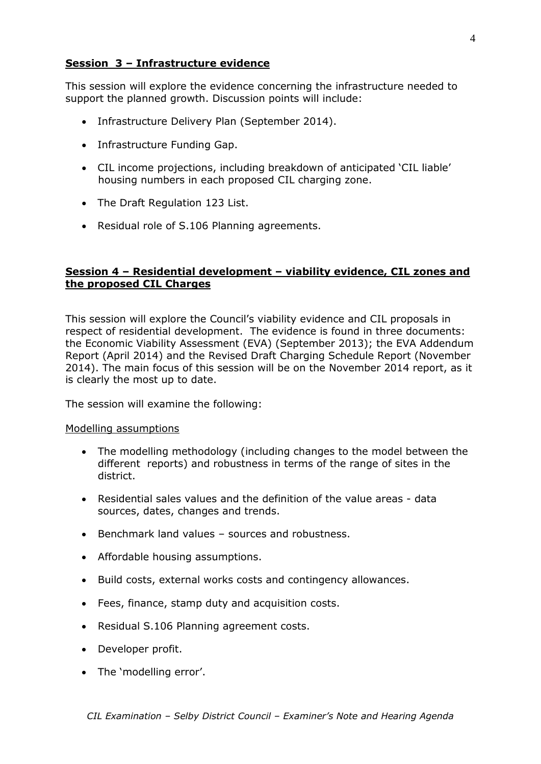## **Session 3 – Infrastructure evidence**

This session will explore the evidence concerning the infrastructure needed to support the planned growth. Discussion points will include:

- Infrastructure Delivery Plan (September 2014).
- Infrastructure Funding Gap.
- CIL income projections, including breakdown of anticipated 'CIL liable' housing numbers in each proposed CIL charging zone.
- The Draft Regulation 123 List.
- Residual role of S.106 Planning agreements.

#### **Session 4 – Residential development – viability evidence, CIL zones and the proposed CIL Charges**

This session will explore the Council's viability evidence and CIL proposals in respect of residential development. The evidence is found in three documents: the Economic Viability Assessment (EVA) (September 2013); the EVA Addendum Report (April 2014) and the Revised Draft Charging Schedule Report (November 2014). The main focus of this session will be on the November 2014 report, as it is clearly the most up to date.

The session will examine the following:

#### Modelling assumptions

- The modelling methodology (including changes to the model between the different reports) and robustness in terms of the range of sites in the district.
- Residential sales values and the definition of the value areas data sources, dates, changes and trends.
- Benchmark land values sources and robustness.
- Affordable housing assumptions.
- Build costs, external works costs and contingency allowances.
- Fees, finance, stamp duty and acquisition costs.
- Residual S.106 Planning agreement costs.
- Developer profit.
- The 'modelling error'.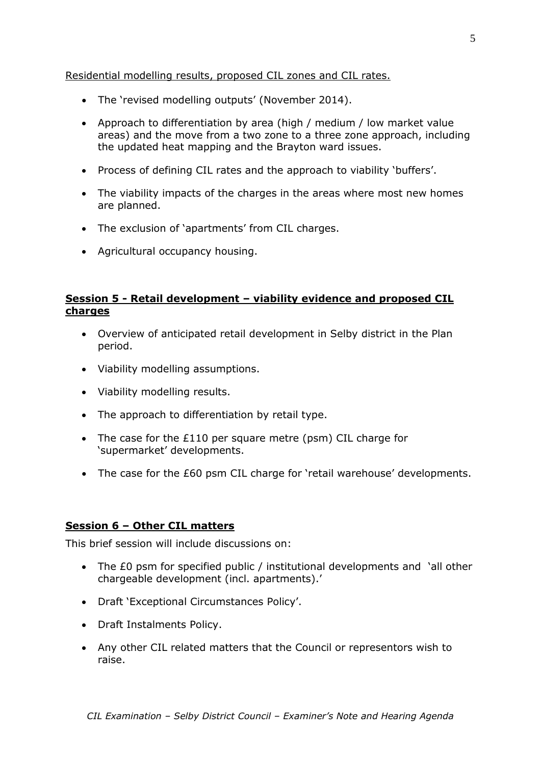### Residential modelling results, proposed CIL zones and CIL rates.

- The 'revised modelling outputs' (November 2014).
- Approach to differentiation by area (high / medium / low market value areas) and the move from a two zone to a three zone approach, including the updated heat mapping and the Brayton ward issues.
- Process of defining CIL rates and the approach to viability 'buffers'.
- The viability impacts of the charges in the areas where most new homes are planned.
- The exclusion of 'apartments' from CIL charges.
- Agricultural occupancy housing.

## **Session 5 - Retail development – viability evidence and proposed CIL charges**

- Overview of anticipated retail development in Selby district in the Plan period.
- Viability modelling assumptions.
- Viability modelling results.
- The approach to differentiation by retail type.
- The case for the £110 per square metre (psm) CIL charge for 'supermarket' developments.
- The case for the £60 psm CIL charge for 'retail warehouse' developments.

## **Session 6 – Other CIL matters**

This brief session will include discussions on:

- The £0 psm for specified public / institutional developments and 'all other chargeable development (incl. apartments).'
- Draft 'Exceptional Circumstances Policy'.
- Draft Instalments Policy.
- Any other CIL related matters that the Council or representors wish to raise.